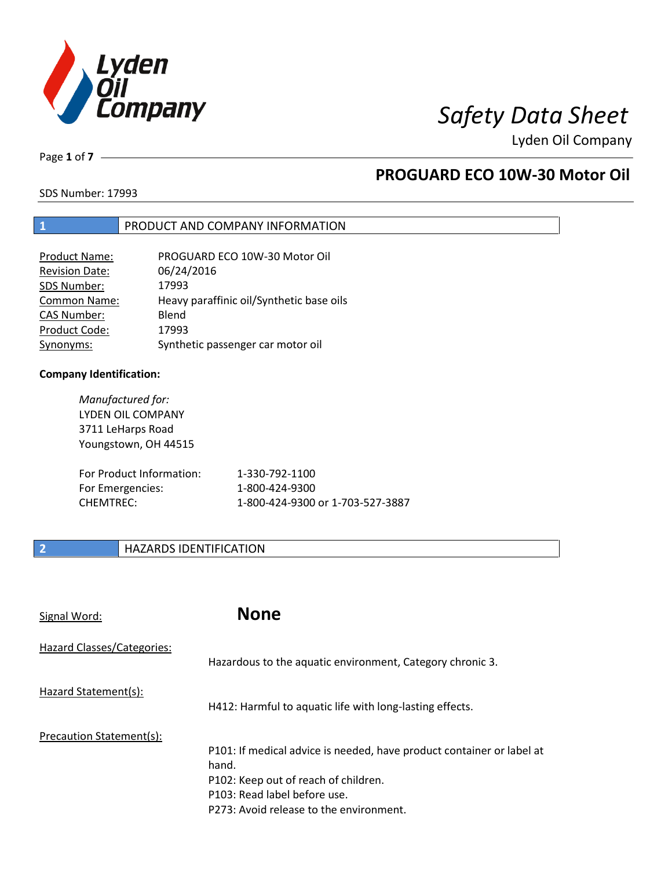

Lyden Oil Company

Page **1** of **7**

### **PROGUARD ECO 10W-30 Motor Oil**

SDS Number: 17993

#### **1** PRODUCT AND COMPANY INFORMATION

| <b>Product Name:</b>  | PROGUARD ECO 10W-30 Motor Oil            |
|-----------------------|------------------------------------------|
| <b>Revision Date:</b> | 06/24/2016                               |
| SDS Number:           | 17993                                    |
| <b>Common Name:</b>   | Heavy paraffinic oil/Synthetic base oils |
| <b>CAS Number:</b>    | Blend                                    |
| Product Code:         | 17993                                    |
| Synonyms:             | Synthetic passenger car motor oil        |

#### **Company Identification:**

| Manufactured for:<br>LYDEN OIL COMPANY<br>3711 LeHarps Road<br>Youngstown, OH 44515 |                                  |
|-------------------------------------------------------------------------------------|----------------------------------|
| For Product Information:                                                            | 1-330-792-1100                   |
| For Emergencies:                                                                    | 1-800-424-9300                   |
| <b>CHEMTRFC:</b>                                                                    | 1-800-424-9300 or 1-703-527-3887 |

### **2 HAZARDS IDENTIFICATION**

| Signal Word:               | <b>None</b>                                                                                                                                                                                       |
|----------------------------|---------------------------------------------------------------------------------------------------------------------------------------------------------------------------------------------------|
| Hazard Classes/Categories: | Hazardous to the aquatic environment, Category chronic 3.                                                                                                                                         |
| Hazard Statement(s):       | H412: Harmful to aquatic life with long-lasting effects.                                                                                                                                          |
| Precaution Statement(s):   | P101: If medical advice is needed, have product container or label at<br>hand.<br>P102: Keep out of reach of children.<br>P103: Read label before use.<br>P273: Avoid release to the environment. |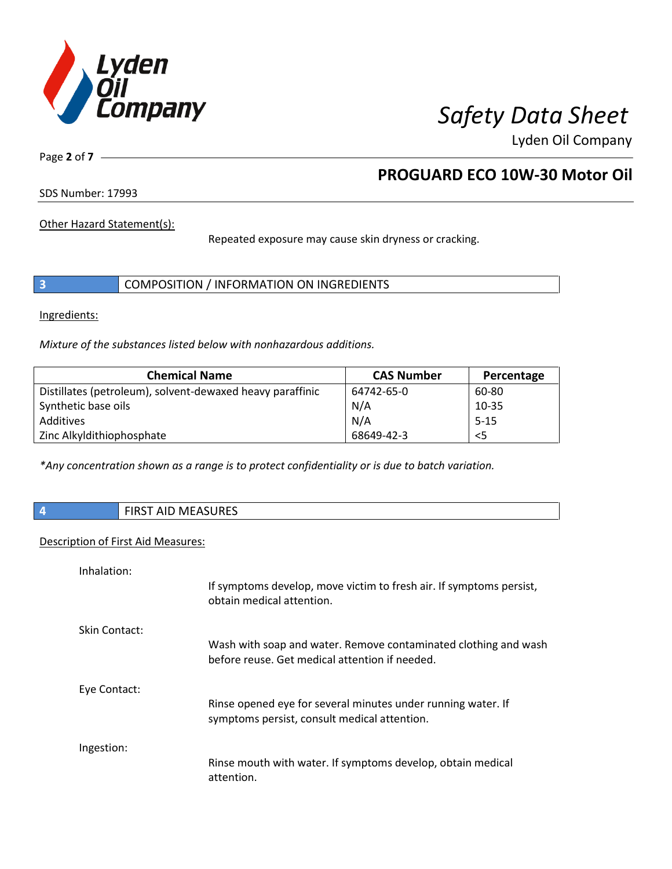

Lyden Oil Company

Page **2** of **7**

### **PROGUARD ECO 10W-30 Motor Oil**

SDS Number: 17993

Other Hazard Statement(s):

Repeated exposure may cause skin dryness or cracking.

|  | COMPOSITION / INFORMATION ON INGREDIENTS |
|--|------------------------------------------|
|--|------------------------------------------|

Ingredients:

*Mixture of the substances listed below with nonhazardous additions.* 

| <b>Chemical Name</b>                                      | <b>CAS Number</b> | Percentage |
|-----------------------------------------------------------|-------------------|------------|
| Distillates (petroleum), solvent-dewaxed heavy paraffinic | 64742-65-0        | 60-80      |
| Synthetic base oils                                       | N/A               | $10 - 35$  |
| Additives                                                 | N/A               | $5 - 15$   |
| Zinc Alkyldithiophosphate                                 | 68649-42-3        | $<$ 5      |

*\*Any concentration shown as a range is to protect confidentiality or is due to batch variation.*

**4** FIRST AID MEASURES

#### Description of First Aid Measures:

| Inhalation:   |                                                                                                                   |
|---------------|-------------------------------------------------------------------------------------------------------------------|
|               | If symptoms develop, move victim to fresh air. If symptoms persist,<br>obtain medical attention.                  |
| Skin Contact: |                                                                                                                   |
|               | Wash with soap and water. Remove contaminated clothing and wash<br>before reuse. Get medical attention if needed. |
| Eye Contact:  |                                                                                                                   |
|               | Rinse opened eye for several minutes under running water. If<br>symptoms persist, consult medical attention.      |
| Ingestion:    |                                                                                                                   |
|               | Rinse mouth with water. If symptoms develop, obtain medical<br>attention.                                         |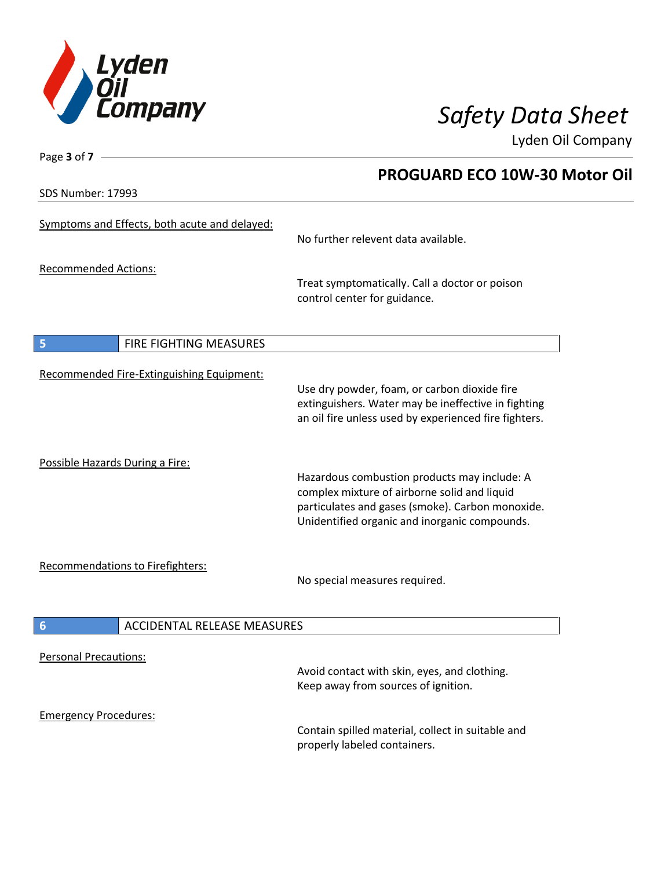

Lyden Oil Company

SDS Number: 17993

Page **3** of **7**

### **PROGUARD ECO 10W-30 Motor Oil**

| Symptoms and Effects, both acute and delayed: | No further relevent data available.                                                                                                                                                               |
|-----------------------------------------------|---------------------------------------------------------------------------------------------------------------------------------------------------------------------------------------------------|
| <b>Recommended Actions:</b>                   | Treat symptomatically. Call a doctor or poison<br>control center for guidance.                                                                                                                    |
| <b>FIRE FIGHTING MEASURES</b><br>5            |                                                                                                                                                                                                   |
| Recommended Fire-Extinguishing Equipment:     | Use dry powder, foam, or carbon dioxide fire<br>extinguishers. Water may be ineffective in fighting<br>an oil fire unless used by experienced fire fighters.                                      |
| Possible Hazards During a Fire:               | Hazardous combustion products may include: A<br>complex mixture of airborne solid and liquid<br>particulates and gases (smoke). Carbon monoxide.<br>Unidentified organic and inorganic compounds. |
| Recommendations to Firefighters:              | No special measures required.                                                                                                                                                                     |
| <b>ACCIDENTAL RELEASE MEASURES</b><br>6       |                                                                                                                                                                                                   |
| <b>Personal Precautions:</b>                  | Avoid contact with skin, eyes, and clothing.<br>Keep away from sources of ignition.                                                                                                               |
| <b>Emergency Procedures:</b>                  | Contain spilled material, collect in suitable and<br>properly labeled containers.                                                                                                                 |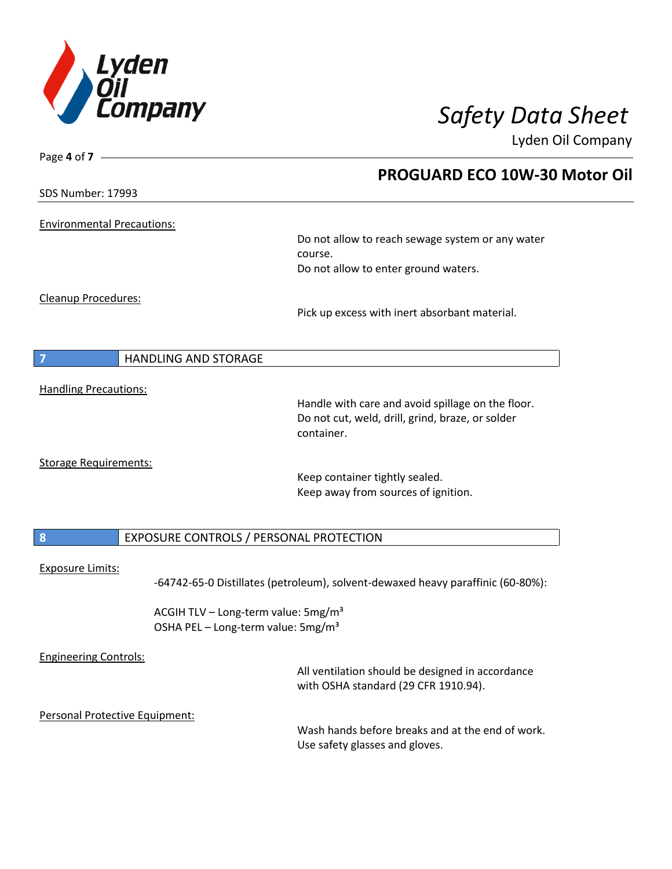

Page **4** of **7**

# *Safety Data Sheet*

Lyden Oil Company

|                              |                                   | <b>PROGUARD ECO 10W-30 Motor Oil</b>                                                                                |
|------------------------------|-----------------------------------|---------------------------------------------------------------------------------------------------------------------|
| <b>SDS Number: 17993</b>     |                                   |                                                                                                                     |
|                              | <b>Environmental Precautions:</b> |                                                                                                                     |
|                              |                                   | Do not allow to reach sewage system or any water<br>course.<br>Do not allow to enter ground waters.                 |
| Cleanup Procedures:          |                                   |                                                                                                                     |
|                              |                                   | Pick up excess with inert absorbant material.                                                                       |
| $\overline{7}$               | <b>HANDLING AND STORAGE</b>       |                                                                                                                     |
| <b>Handling Precautions:</b> |                                   |                                                                                                                     |
|                              |                                   | Handle with care and avoid spillage on the floor.<br>Do not cut, weld, drill, grind, braze, or solder<br>container. |
|                              | <b>Storage Requirements:</b>      | Keep container tightly sealed.<br>Keep away from sources of ignition.                                               |
| 8                            |                                   | EXPOSURE CONTROLS / PERSONAL PROTECTION                                                                             |
| <b>Exposure Limits:</b>      |                                   | -64742-65-0 Distillates (petroleum), solvent-dewaxed heavy paraffinic (60-80%):                                     |
|                              |                                   | ACGIH TLV - Long-term value: 5mg/m <sup>3</sup><br>OSHA PEL - Long-term value: 5mg/m <sup>3</sup>                   |
| <b>Engineering Controls:</b> |                                   | All ventilation should be designed in accordance<br>with OSHA standard (29 CFR 1910.94).                            |
|                              | Personal Protective Equipment:    |                                                                                                                     |
|                              |                                   | Wash hands before breaks and at the end of work.<br>Use safety glasses and gloves.                                  |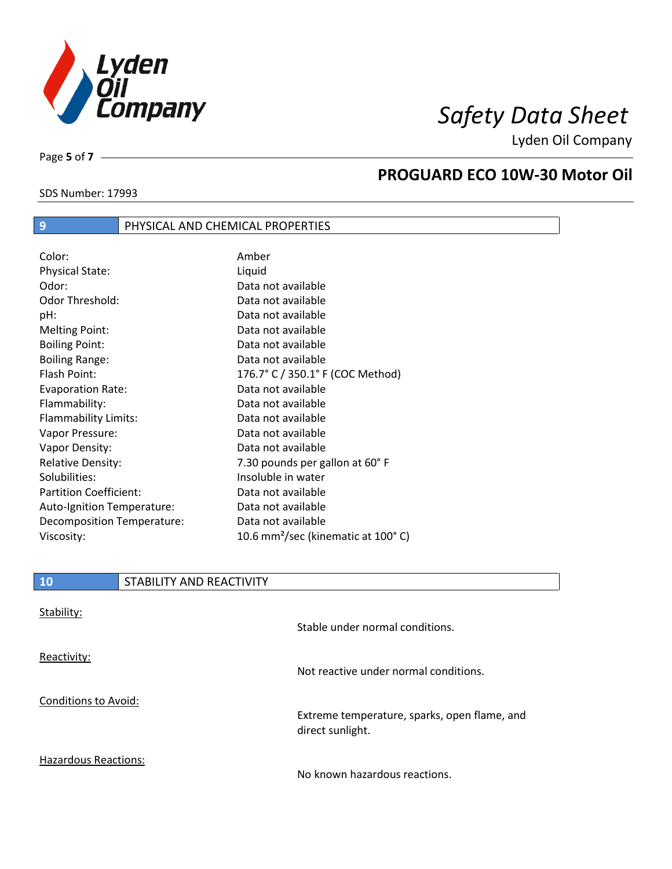

Lyden Oil Company

Page **5** of **7**

 $\overline{\phantom{a}}$ 

### **PROGUARD ECO 10W-30 Motor Oil**

## SDS Number: 17993

### **9** PHYSICAL AND CHEMICAL PROPERTIES

| Color:                        | Amber                                          |
|-------------------------------|------------------------------------------------|
| <b>Physical State:</b>        | Liquid                                         |
| Odor:                         | Data not available                             |
| <b>Odor Threshold:</b>        | Data not available                             |
| pH:                           | Data not available                             |
| <b>Melting Point:</b>         | Data not available                             |
| <b>Boiling Point:</b>         | Data not available                             |
| <b>Boiling Range:</b>         | Data not available                             |
| Flash Point:                  | 176.7° C / 350.1° F (COC Method)               |
| <b>Evaporation Rate:</b>      | Data not available                             |
| Flammability:                 | Data not available                             |
| Flammability Limits:          | Data not available                             |
| Vapor Pressure:               | Data not available                             |
| Vapor Density:                | Data not available                             |
| <b>Relative Density:</b>      | 7.30 pounds per gallon at 60°F                 |
| Solubilities:                 | Insoluble in water                             |
| <b>Partition Coefficient:</b> | Data not available                             |
| Auto-Ignition Temperature:    | Data not available                             |
| Decomposition Temperature:    | Data not available                             |
| Viscosity:                    | 10.6 mm <sup>2</sup> /sec (kinematic at 100°C) |

| <b>10</b>                   | STABILITY AND REACTIVITY |                                                                  |
|-----------------------------|--------------------------|------------------------------------------------------------------|
| Stability:                  |                          |                                                                  |
|                             |                          | Stable under normal conditions.                                  |
| Reactivity:                 |                          |                                                                  |
|                             |                          | Not reactive under normal conditions.                            |
| <b>Conditions to Avoid:</b> |                          |                                                                  |
|                             |                          | Extreme temperature, sparks, open flame, and<br>direct sunlight. |
| <b>Hazardous Reactions:</b> |                          |                                                                  |

No known hazardous reactions.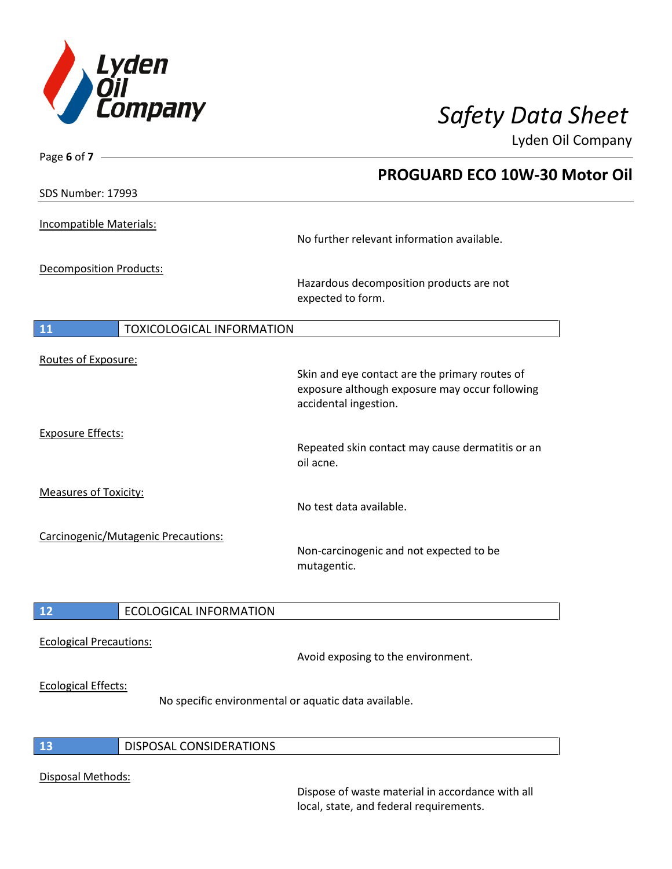

# *Safety Data Sheet*

Lyden Oil Company

| Page 6 of $7 -$                                      |                                                                                                                           |  |
|------------------------------------------------------|---------------------------------------------------------------------------------------------------------------------------|--|
|                                                      | <b>PROGUARD ECO 10W-30 Motor Oil</b>                                                                                      |  |
| SDS Number: 17993                                    |                                                                                                                           |  |
| Incompatible Materials:                              |                                                                                                                           |  |
|                                                      | No further relevant information available.                                                                                |  |
| <b>Decomposition Products:</b>                       |                                                                                                                           |  |
|                                                      | Hazardous decomposition products are not<br>expected to form.                                                             |  |
| <b>TOXICOLOGICAL INFORMATION</b><br><b>11</b>        |                                                                                                                           |  |
| Routes of Exposure:                                  |                                                                                                                           |  |
|                                                      | Skin and eye contact are the primary routes of<br>exposure although exposure may occur following<br>accidental ingestion. |  |
| <b>Exposure Effects:</b>                             |                                                                                                                           |  |
|                                                      | Repeated skin contact may cause dermatitis or an<br>oil acne.                                                             |  |
| <b>Measures of Toxicity:</b>                         |                                                                                                                           |  |
|                                                      | No test data available.                                                                                                   |  |
| Carcinogenic/Mutagenic Precautions:                  |                                                                                                                           |  |
|                                                      | Non-carcinogenic and not expected to be<br>mutagentic.                                                                    |  |
| 12<br><b>ECOLOGICAL INFORMATION</b>                  |                                                                                                                           |  |
| <b>Ecological Precautions:</b>                       |                                                                                                                           |  |
|                                                      | Avoid exposing to the environment.                                                                                        |  |
| <b>Ecological Effects:</b>                           |                                                                                                                           |  |
| No specific environmental or aquatic data available. |                                                                                                                           |  |
| 13<br>DISPOSAL CONSIDERATIONS                        |                                                                                                                           |  |
| Disposal Methods:                                    |                                                                                                                           |  |

Dispose of waste material in accordance with all local, state, and federal requirements.